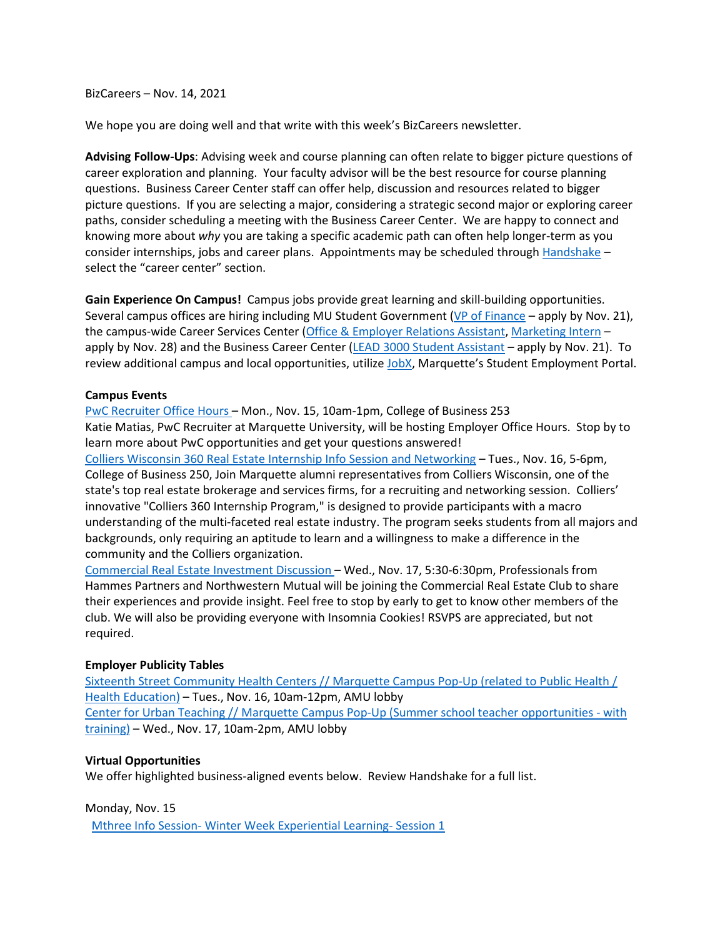BizCareers – Nov. 14, 2021

We hope you are doing well and that write with this week's BizCareers newsletter.

**Advising Follow-Ups**: Advising week and course planning can often relate to bigger picture questions of career exploration and planning. Your faculty advisor will be the best resource for course planning questions. Business Career Center staff can offer help, discussion and resources related to bigger picture questions. If you are selecting a major, considering a strategic second major or exploring career paths, consider scheduling a meeting with the Business Career Center. We are happy to connect and knowing more about *why* you are taking a specific academic path can often help longer-term as you consider internships, jobs and career plans. Appointments may be scheduled through [Handshake](https://marquette.joinhandshake.com/) – select the "career center" section.

**Gain Experience On Campus!** Campus jobs provide great learning and skill-building opportunities. Several campus offices are hiring including MU Student Government [\(VP of Finance](https://nam02.safelinks.protection.outlook.com/?url=https%3A%2F%2Fmarquette.presence.io%2Fform%2Fmusg-financial-vice-president-1&data=04%7C01%7Ckaren.rinehart%40marquette.edu%7C9f564d25d3ab4e320fc408d9a45a4e79%7Cabe32f68c72d420db5bd750c63a268e4%7C0%7C0%7C637721530032201638%7CUnknown%7CTWFpbGZsb3d8eyJWIjoiMC4wLjAwMDAiLCJQIjoiV2luMzIiLCJBTiI6Ik1haWwiLCJXVCI6Mn0%3D%7C1000&sdata=RRI8nKXQK2uoWymMnJvrUoVXoXb1soW9FLznpcINqVw%3D&reserved=0) – apply by Nov. 21), the campus-wide Career Services Center (Office [& Employer Relations Assistant,](https://nam02.safelinks.protection.outlook.com/?url=https%3A%2F%2Fbit.ly%2F3D5zs7U&data=04%7C01%7Ckaren.rinehart%40marquette.edu%7C6214a24ec6c04e40e43908d9a4976062%7Cabe32f68c72d420db5bd750c63a268e4%7C0%7C0%7C637721792383919712%7CUnknown%7CTWFpbGZsb3d8eyJWIjoiMC4wLjAwMDAiLCJQIjoiV2luMzIiLCJBTiI6Ik1haWwiLCJXVCI6Mn0%3D%7C1000&sdata=ugddV1DFsQjUN9o3HxbJiZUtWaFaecjUNUJXW2K4tNI%3D&reserved=0) [Marketing Intern](https://nam02.safelinks.protection.outlook.com/?url=https%3A%2F%2Fbit.ly%2F3qregWr&data=04%7C01%7Ckaren.rinehart%40marquette.edu%7C6214a24ec6c04e40e43908d9a4976062%7Cabe32f68c72d420db5bd750c63a268e4%7C0%7C0%7C637721792383919712%7CUnknown%7CTWFpbGZsb3d8eyJWIjoiMC4wLjAwMDAiLCJQIjoiV2luMzIiLCJBTiI6Ik1haWwiLCJXVCI6Mn0%3D%7C1000&sdata=ZXgzlaNL28lN%2F5JmbmEHUGtclaCBAyb2u5TA6jfDInQ%3D&reserved=0) apply by Nov. 28) and the Business Career Center (LEAD [3000 Student Assistant](https://marquette.joinhandshake.com/jobs/5591110/share_preview) – apply by Nov. 21). To review additional campus and local opportunities, utilize [JobX,](https://marquette.studentemployment.ngwebsolutions.com/) Marquette's Student Employment Portal.

#### **Campus Events**

[PwC Recruiter Office Hours –](https://marquette.joinhandshake.com/events/898922/share_preview) Mon., Nov. 15, 10am-1pm, College of Business 253 Katie Matias, PwC Recruiter at Marquette University, will be hosting Employer Office Hours. Stop by to learn more about PwC opportunities and get your questions answered! [Colliers Wisconsin 360 Real Estate Internship Info Session and Networking](https://marquette.joinhandshake.com/events/903803/share_preview) – Tues., Nov. 16, 5-6pm, College of Business 250, Join Marquette alumni representatives from Colliers Wisconsin, one of the state's top real estate brokerage and services firms, for a recruiting and networking session. Colliers' innovative "Colliers 360 Internship Program," is designed to provide participants with a macro understanding of the multi-faceted real estate industry. The program seeks students from all majors and backgrounds, only requiring an aptitude to learn and a willingness to make a difference in the community and the Colliers organization.

[Commercial Real Estate Investment Discussion –](https://marquette.joinhandshake.com/events/901585/share_preview) Wed., Nov. 17, 5:30-6:30pm, Professionals from Hammes Partners and Northwestern Mutual will be joining the Commercial Real Estate Club to share their experiences and provide insight. Feel free to stop by early to get to know other members of the club. We will also be providing everyone with Insomnia Cookies! RSVPS are appreciated, but not required.

### **Employer Publicity Tables**

[Sixteenth Street Community Health Centers // Marquette Campus Pop-Up \(related to Public Health /](https://marquette.joinhandshake.com/events/889218/share_preview)  [Health Education\)](https://marquette.joinhandshake.com/events/889218/share_preview) – Tues., Nov. 16, 10am-12pm, AMU lobby [Center for Urban Teaching // Marquette Campus Pop-Up \(Summer school teacher opportunities -](https://marquette.joinhandshake.com/events/809019/share_preview) with [training\)](https://marquette.joinhandshake.com/events/809019/share_preview) – Wed., Nov. 17, 10am-2pm, AMU lobby

### **Virtual Opportunities**

We offer highlighted business-aligned events below. Review Handshake for a full list.

Monday, Nov. 15

Mthree Info Session- [Winter Week Experiential](https://marquette.joinhandshake.com/events/900262/share_preview) Learning- Session 1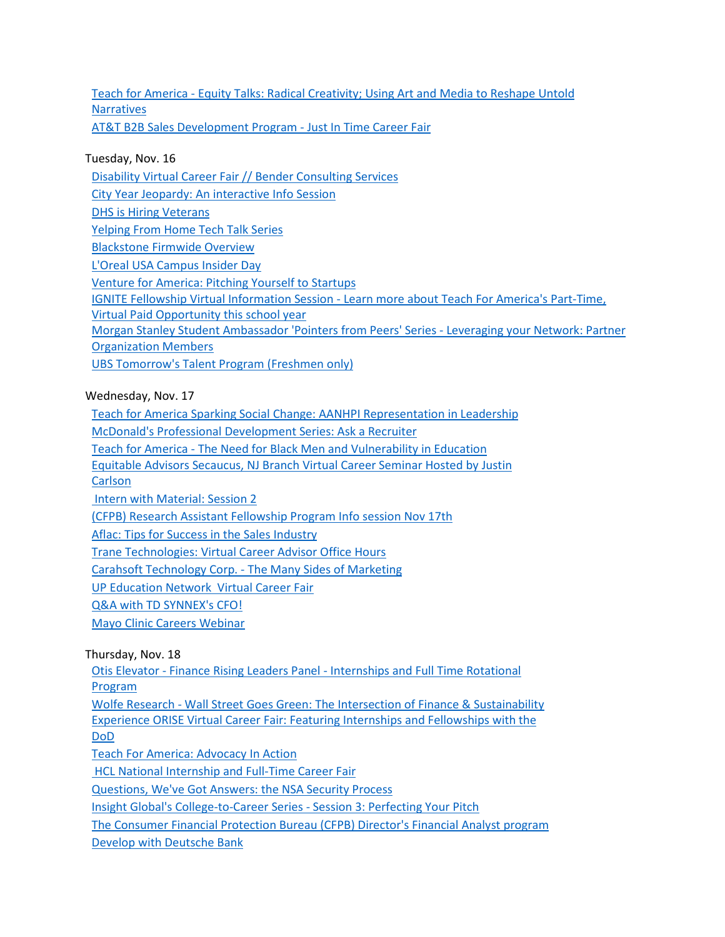Teach for America - [Equity Talks: Radical Creativity; Using Art and Media to Reshape Untold](https://marquette.joinhandshake.com/events/874344/share_preview)  **[Narratives](https://marquette.joinhandshake.com/events/874344/share_preview)** [AT&T B2B Sales Development Program -](https://marquette.joinhandshake.com/events/897769/share_preview) Just In Time Career Fair

# Tuesday, Nov. 16

[Disability Virtual Career Fair // Bender Consulting Services](https://marquette.joinhandshake.com/events/904070/share_preview) [City Year Jeopardy: An interactive Info Session](https://marquette.joinhandshake.com/events/903026/share_preview) [DHS is Hiring Veterans](https://marquette.joinhandshake.com/events/901735/share_preview) [Yelping From Home Tech Talk Series](https://marquette.joinhandshake.com/events/895148/share_preview) [Blackstone Firmwide Overview](https://marquette.joinhandshake.com/events/893033/share_preview) [L'Oreal USA Campus Insider Day](https://marquette.joinhandshake.com/events/891472/share_preview) [Venture for America: Pitching Yourself to Startups](https://marquette.joinhandshake.com/events/889936/share_preview) IGNITE Fellowship Virtual Information Session - [Learn more about Teach For America's Part-Time,](https://marquette.joinhandshake.com/events/883983/share_preview)  [Virtual Paid Opportunity this school year](https://marquette.joinhandshake.com/events/883983/share_preview) [Morgan Stanley Student Ambassador 'Pointers from Peers' Series](https://marquette.joinhandshake.com/events/876697/share_preview) - Leveraging your Network: Partner [Organization Members](https://marquette.joinhandshake.com/events/876697/share_preview)  [UBS Tomorrow's Talent Program \(Freshmen only\)](https://marquette.joinhandshake.com/events/818243/share_preview)

## Wednesday, Nov. 17

[Teach for America Sparking Social Change: AANHPI Representation in Leadership](https://marquette.joinhandshake.com/events/903529/share_preview)

[McDonald's Professional Development Series: Ask a Recruiter](https://marquette.joinhandshake.com/events/903083/share_preview)

Teach for America - [The Need for Black Men and Vulnerability in Education](https://marquette.joinhandshake.com/events/897826/share_preview)

[Equitable Advisors Secaucus, NJ Branch Virtual Career Seminar Hosted by Justin](https://marquette.joinhandshake.com/events/897392/share_preview) 

**[Carlson](https://marquette.joinhandshake.com/events/897392/share_preview)** 

[Intern with Material: Session 2](https://marquette.joinhandshake.com/events/891956/share_preview)

[\(CFPB\) Research Assistant Fellowship Program Info session Nov 17th](https://marquette.joinhandshake.com/events/891336/share_preview)

[Aflac: Tips for Success in the Sales Industry](https://marquette.joinhandshake.com/events/889351/share_preview)

[Trane Technologies: Virtual Career Advisor Office Hours](https://marquette.joinhandshake.com/events/888492/share_preview)

Carahsoft Technology Corp. - [The Many Sides of Marketing](https://marquette.joinhandshake.com/events/886472/share_preview)

[UP Education Network Virtual Career Fair](https://marquette.joinhandshake.com/events/866690/share_preview)

[Q&A with TD SYNNEX's CFO!](https://marquette.joinhandshake.com/events/850789/share_preview)

[Mayo Clinic Careers Webinar](https://marquette.joinhandshake.com/events/688775/share_preview)

Thursday, Nov. 18

Otis Elevator - Finance Rising Leaders Panel - [Internships and Full Time Rotational](https://marquette.joinhandshake.com/events/902445/share_preview)  [Program](https://marquette.joinhandshake.com/events/902445/share_preview)

Wolfe Research - [Wall Street Goes Green: The Intersection of Finance & Sustainability](https://marquette.joinhandshake.com/events/901581/share_preview)  [Experience ORISE Virtual Career Fair: Featuring Internships and Fellowships with the](https://marquette.joinhandshake.com/events/898661/share_preview)  [DoD](https://marquette.joinhandshake.com/events/898661/share_preview)

[Teach For America: Advocacy In Action](https://marquette.joinhandshake.com/events/897996/share_preview)

[HCL National Internship and Full-Time Career Fair](https://marquette.joinhandshake.com/events/897240/share_preview)

[Questions, We've Got Answers: the NSA Security Process](https://marquette.joinhandshake.com/events/896328/share_preview)

[Insight Global's College-to-Career Series -](https://marquette.joinhandshake.com/events/888161/share_preview) Session 3: Perfecting Your Pitch

[The Consumer Financial Protection Bureau \(CFPB\) Director's Financial Analyst program](https://marquette.joinhandshake.com/events/864006/share_preview)

[Develop with Deutsche Bank](https://marquette.joinhandshake.com/events/862788/share_preview)